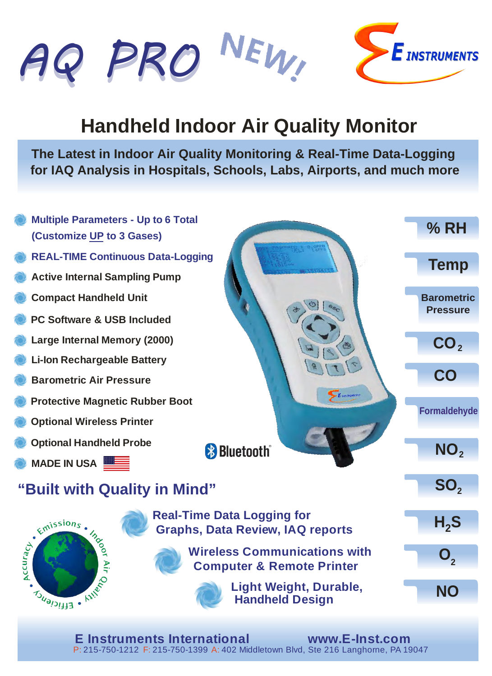VEW, *AQ PRO AQ PRO* **E** INSTRUMENTS

## **Handheld Indoor Air Quality Monitor**

**The Latest in Indoor Air Quality Monitoring & Real-Time Data-Logging for IAQ Analysis in Hospitals, Schools, Labs, Airports, and much more**



**E Instruments International www.E-Inst.com** P: 215-750-1212 F: 215-750-1399 A: 402 Middletown Blvd, Ste 216 Langhorne, PA 19047